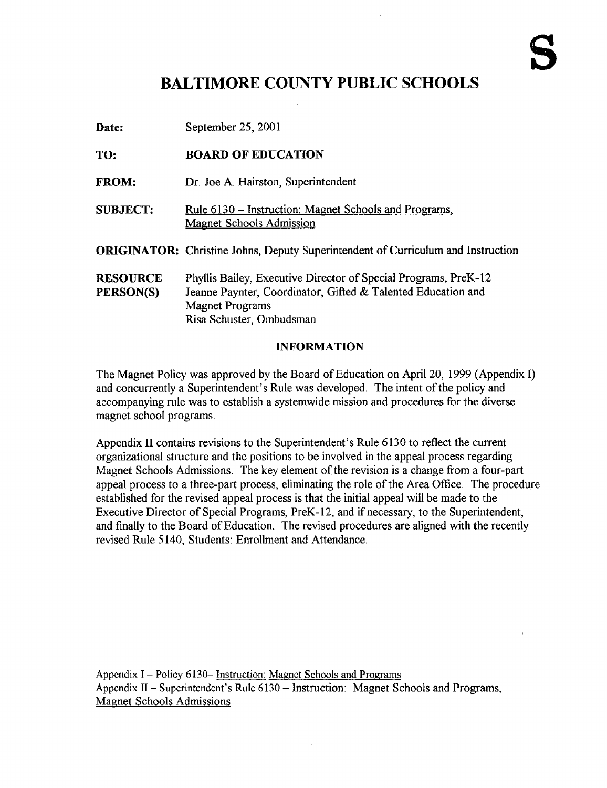# BALTIMORE COUNTY PUBLIC SCHOOLS

| Date:                        | September 25, 2001                                                                                                                                                                    |
|------------------------------|---------------------------------------------------------------------------------------------------------------------------------------------------------------------------------------|
| TO:                          | <b>BOARD OF EDUCATION</b>                                                                                                                                                             |
| <b>FROM:</b>                 | Dr. Joe A. Hairston, Superintendent                                                                                                                                                   |
| <b>SUBJECT:</b>              | <u> Rule 6130 – Instruction: Magnet Schools and Programs,</u><br><b>Magnet Schools Admission</b>                                                                                      |
|                              | <b>ORIGINATOR:</b> Christine Johns, Deputy Superintendent of Curriculum and Instruction                                                                                               |
| <b>RESOURCE</b><br>PERSON(S) | Phyllis Bailey, Executive Director of Special Programs, PreK-12<br>Jeanne Paynter, Coordinator, Gifted & Talented Education and<br><b>Magnet Programs</b><br>Risa Schuster, Ombudsman |

### INFORMATION

The Magnet Policy was approved by the Board of Education on April 20, 1999 (Appendix I) and concurrently a Superintendent's Rule was developed. The intent of the policy and accompanying rule was to establish a systemwide mission and procedures for the diverse magnet school programs.

Appendix II contains revisions to the Superintendent's Rule 6130 to reflect the current organizational structure and the positions to be involved in the appeal process regarding Magnet Schools Admissions. The key element of the revision is a change from a four-part appeal process to a three-part process, eliminating the role of the Area Office. The procedure established for the revised appeal process is that the initial appeal will be made to the Executive Director of Special Programs, PreK-12, and if necessary, to the Superintendent, and finally to the Board of Education. The revised procedures are aligned with the recently revised Rule 5140, Students: Enrollment and Attendance.

Appendix <sup>I</sup> - Policy 6130- Instruction: Magnet Schools and Programs Appendix II - Superintendent's Rule 6130 - Instruction: Magnet Schools and Programs, Magnet Schools Admissions

 $\sim$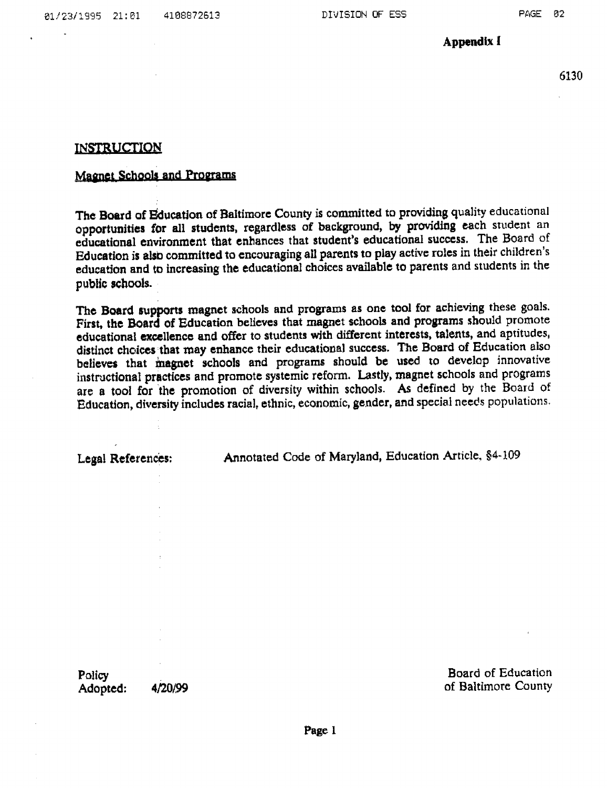Appendix <sup>I</sup>

6130

### INSTRUCTION

## Magnet Schools and Programs

The Board of Education of Baltimore County is committed to providing quality educational opportunities for all students, regardless of background, by providing each student an educational environment that enhances that student's educational success. The Board of Education is also) committed to encouraging all parents to play active roles in their children's education and to increasing the educational choices available to parents and students in the public schools.

The Board supports magnet schools and programs as one tool for achieving these goals. First, the Hoard of Education believes that magnet schools and programs should promote educational excellence and offer to students with different interests, talents, and aptitudes, distinct choices that may enhance their educational success. The Board of Education also believes that magnet schools and programs should be used to develop innovative instructional practices and promote systemic reform. Lastly, magnet schools and programs are <sup>a</sup> toot for the promotion of diversity within schools. As defined by the Board of Education, diversity includes racial, ethnic, economic, gender, and special needs populations

Legal References: **Annotated Code of Maryland, Education Article**, §4-109

Policy<br>
Adopted: 4/20/99<br>
Adopted: 4/20/99 of Baltimore County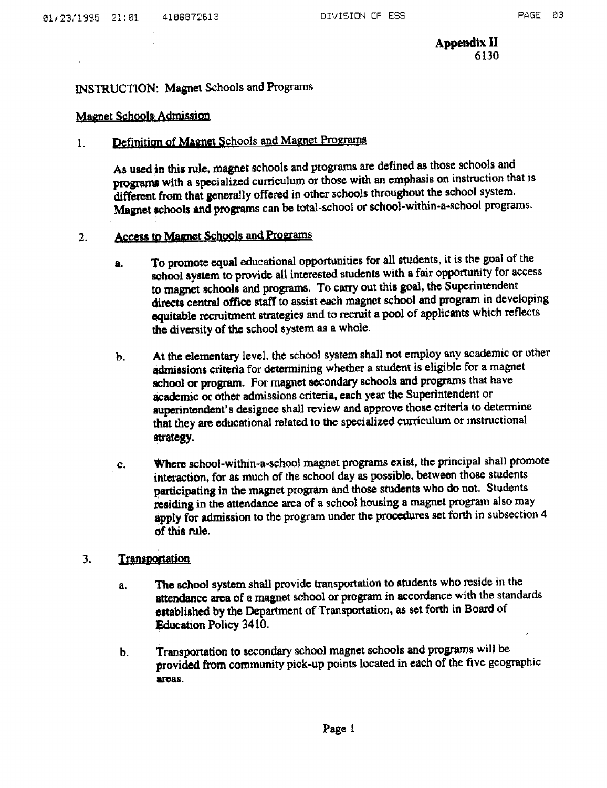Appendix II<br>6130

### INSTRUCTION: Magnet Schools and Programs

### Magnet Schools-Admission

### Definition of Magnet Schools and Magnet Programs  $\mathbf{I}$ .

As used in this rule, magnet schools and programs are defined as those schools and prograrns with a specialized curriculum or those with an emphasis on instruction that is different from that generally offered in other schools throughout the school system. Magnet schools and programs can be total-school or school-within-a-school programs.

#### Access to Magnet Schools and Programs  $2.$

- a. To promote equal educational opportunities for all students, it is the goal of the school system to provide all interested students with a fair opportunity for access to magnet schools and programs. To carry out this goal, the Superintendent directs central office staff to assist each magnet school and program in developing equitable recruitment strategies and to recruit <sup>a</sup> pool of applicants which reflects the diversity of the school system as a whole.
- b. At the elementary level, the school system shall not employ any academic or other admissions criteria for determining whether <sup>a</sup> student is eligible for <sup>a</sup> magnet school or program. For magnet secondary schools and programs that have academic or other admissions criteria, each year the Superintendent or superintendent's designee shall review and approve those criteria to determine that they are educational related to the specialized curriculum or instructional strategy.
- c. Where school-within-a-school magnet programs exist, the principal shall promote interaction, for as much of the school day as possible, between those students participating in the magnet program and those students who do not. Students residing in the attendance area of <sup>a</sup> school housing <sup>a</sup> magnet program also may apply for admission to the program under the procedures set forth in subsection 4 of this rule.

### 3. Transportation

- a. The school system shall provide transportation to students who reside in the attendance area of a magnet school or program in accordance with the standards established by the Department of Transportation, as set forth in Board of Education Policy 3410.
- b. Transportation to secondary school magnet schools and programs will be provided from community pick-up points located in each of the five geographic areas.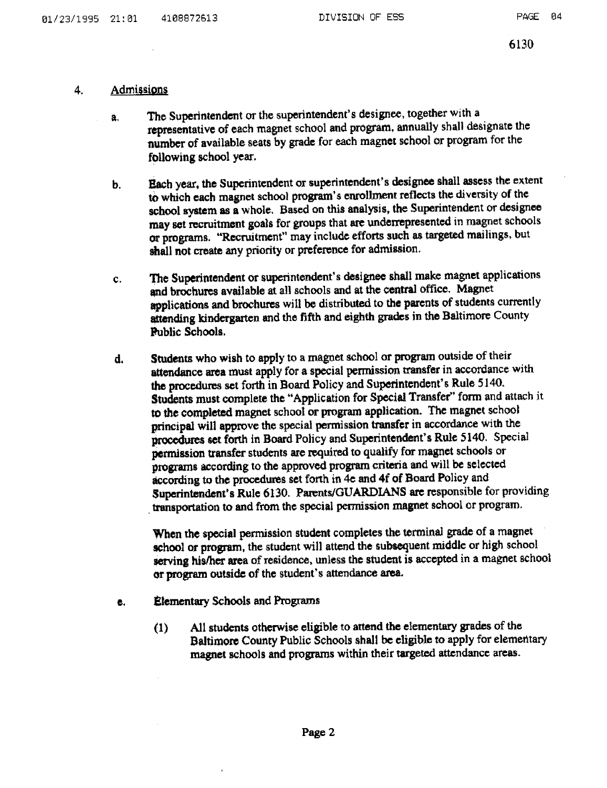### 4. Admissions

- a. The Superintendent or the superintendent's designee, together with <sup>a</sup> representative of each magnet school and program, annually shall designate the number of available seats by grade for each magnet school or program for the following school year.
- b. Each year, the Superintendent or superintendent's designee shall assess the extent to which each magnet school program's enrollment reflects the diversity of the school system as a whole. Based on this analysis, the Superintendent or designee may set recruitment goals for groups that arc underrepresented in magnet schools or programs. "Recruitment" may include efforts such as targeted mailings, but shall not create any priority or preference for admission .
- <sup>c</sup> . The Superintendent or superintendent's designee shall make magnet applications qnd brochures available at all schools and at the central office. Magnet applications and brochures will be distributed to the parents of students currently attending kindergarten and the fifth and eighth grades in the Baltimore County Public Schools.
- d, Students who wish to apply to <sup>a</sup> magnet school or program outside of their attendance area must apply for a special permission transfer in accordance with the procedures set forth in Board Policy and Superintendent's Rule 5140. Students must complete the "Application for Special Transfer" form and attach it to the completed magnet school or program application. The magnet school principal will approve the special permission transfer in accordance with the procedures set forth in Board Policy and Superintendent's Rule 5140. Special permission transfer students are required to qualify for magnet schools or programs according to the approved program criteria and will be selected according to the procedures set forth in 4e and 4f of Board Policy and Superintendent's Rule 6130. Parents/GUARDIANS are responsible for providing transportation to and from the special permission magnet school or program.

When the special permission student completes the terminal grade of <sup>a</sup> magnet school or program, the student will attend the subsequent middle or high school serving his/her area of residence, unless the student is accepted in a magnet school or program outside of the student's attendance area.

- c. Elementary Schools and Programs
	- (1) All students otherwise eligible to attend the elementary grades of the Baltimore County Public Schools shall be eligible to apply for elementary magnet schools and programs within their targeted attendance areas.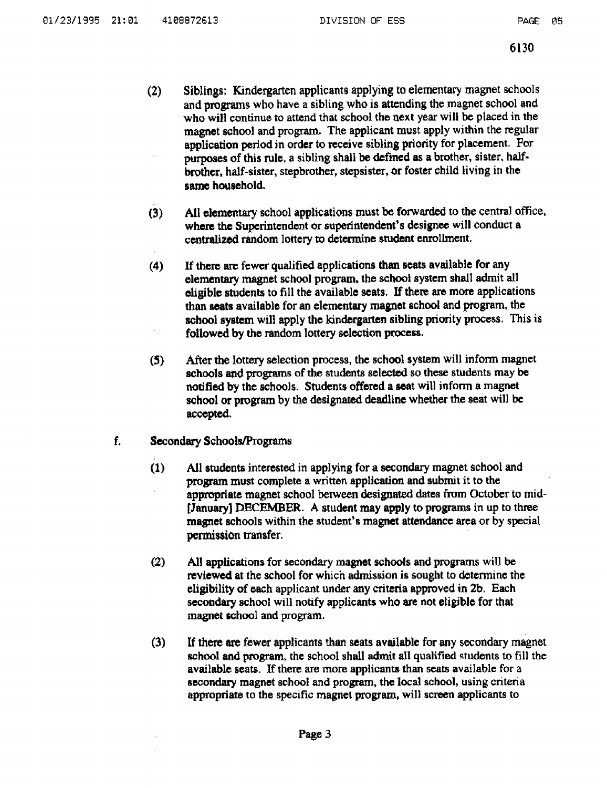- (2) Siblings: Kindergarten applicants applying to elementary magnet schools and programs who have a sibling who is attending the magnet school and who will continue to attend that school the next year will be placed in the magnet school and program. The applicant must apply within the regular application period in order to receive sibling priority for placement. For purposes of this rule, a sibling shall be defined as a brother, sister, halfbrother, half-sister, stepbrother, stepsister, or foster child living in the same household.
- (9) All elementary school applications must be forwarded to the central office, where the Superintendent or superintendent's designee will conduct a centralized random lottery to determine student enrollment.
- (4) If there are fewer qualified applications than seats available for any elementary magnet school program, the school system shall admit all eligible students to fill the available seats . If there are more applications than seats available for an elementary magnet school and program, the school system will apply the kindergarten sibling priority process. This is followed by the random lottery selection process .
- (5) After the lottery selection process, the school system will inform magnet schools and programs of the students selected so these students may be notified by the schools . Students offered a seat will inform a magnet school or program by the designated deadline whether the seat will be accepted.
- f. Secondary Schools/Programs
	- (1) All students interested in applying for a secondary magnet school and program must complete a written application and submit it to the appropriate magnet school between designated dates from October to mid [January] DECEMBER. A student may apply to programs in up to three magnet schools within the student's magnet attendance area or by special permission transfer.
	- (2) All applications for secondary magnet schools and programs will be reviewed at the school for which admission is sought to determine the eligibility of each applicant under any criteria approved in 2b, Each secondary school will notify applicants who are not eligible for that magnet school and program.
	- (3) If there are fewer applicants than seats available for any secondary magnet school and program, the school shall admit all qualified students to fill the available seats. If there are more applicants than seats available for a secondary magnet school and program, the local school, using criteria appropriate to the specific magnet program, will screen applicants to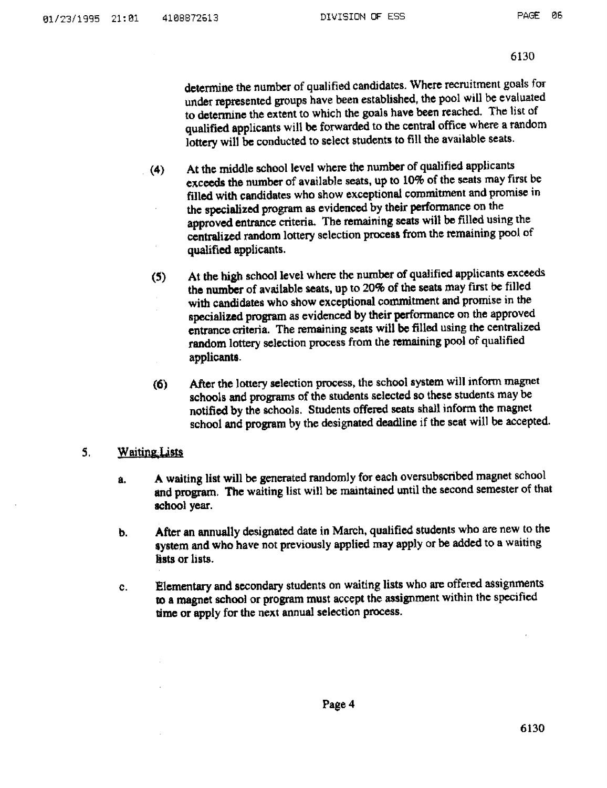6130

determine the number of qualified candidates. Where recruitment goats for under represented groups have been established, the pool will be evaluated to determine the extent to which the goals have been reached. The list of qualified applicants will be forwarded to the central office where a random lottery will be conducted to select students to fill the available seats.

- (4) At the middle school level where the number of qualified applicants exceeds the number of available seats, up to 10% of the seats may first be filled with candidates who show exceptional commitment and promise in the specialized program as evidenced by their performance on the approved entrance criteria. The remaining seats will be filled using the centralized random lottery selection process from the remaining pool of qualified applicants .
- (S) At the high school level where the number of qualified applicants exceeds the number of available seats, up to 20% of the seats may first be filled with candidates who show exceptional commitment and promise in the specialized program as evidenced by their performance on the approved entrance criteria. The remaining seats will be filled using the centralized random lottery selection process from the remaining pool of qualified applicants .
- (d) After the lottery selection process, the school system will infomn magnet schools and programs of the students selected so these students may be notified by the schools . Students offered seats shall inform the magnet school and program by the designated deadline if the seat will be accepted.

### 5. Waiting Lists

- a. A waiting list will be generated randomly for each oversubscribed magnet school and program. The waiting list will be maintained until the second semester of that school year.
- b. After an annually designated date in March, qualified students who are new to the system and who have not previously applied may apply or be added to a waiting lists or lists .
- c. Elementary and secondary students on waiting lists who are offered assignments to a magnet school or program must accept the assignment within the specified time or apply for the next annual selection process.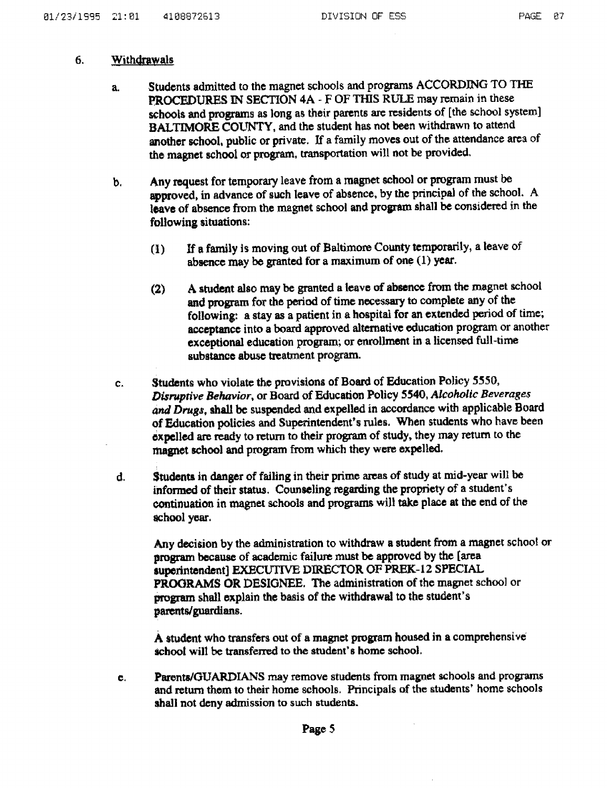### 6. Withdrawals

- a. Students admitted to the magnet schools and programs ACCORDING TO THE PROCEDURES IN SECTION 4A - F OF THIS RULE may remain in these schools and programs as long as their parents are residents of [the school system] BALTIMORE COUNTY, and the student has not been withdrawn to attend another school, public or private. If a family moves out of the attendance area of the magnet school or program, transportation will not be provided.
- b. Any request for temporary leave from <sup>a</sup> magnet school or program must be approved, in advance of such leave of absence, by the principal of the school. A leave of absence from the magnet school and program shall be considered in the following situations :
	- (1) If a family is moving out of Baltimore County temporarily, a leave of absence may be granted for a maximum of one (1) year.
	- (2) A student also may be granted <sup>a</sup> leave of absence from the magnet school and program for the period of time necessary to complete any of the following: a stay as a patient in a hospital for an extended period of time; acceptance into a board approved alternative education program or another exceptional education program; or enrollment in a licensed full-time substance abuse treatment program.
- c. Students who violate the provisions of Board of Education Policy 5550, Disruptive Behavior, or Board of Education Policy 5540, Adcohotic Beverages and Drugs, shall be suspended and expelled in accordance with applicable Board of Education policies and Superintendent's rules. When students who have been expelled are ready to return to their program of study, they may return to the magnet school and program from which they were expelled.
- d. Students in danger of failing in their prime areas of study at mid-year will be informed of their status. Counseling regarding the propriety of <sup>a</sup> student's continuation in magnet schools and programs will take place at the end of the school year.

Any decision by the administration to withdraw a student from a magnet school or program because of academic failure must be approved by the (area superintendent] EXECUTIVE DIRECTOR OF PREK-12 SPECIAL PROORAMS OR DESIGNEE. The administration of the magnet school or program shall explain the basis of the withdrawal to the student's parents/guardians.

A student who transfers out of <sup>a</sup> magnet program housed in a comprehensive school will be transferred to the student's home school.

e. Parents/GUARDIANS may remove students from magnet schools and programs and return them to their home schools . Principals of the students' home schools shall not deny admission to such students.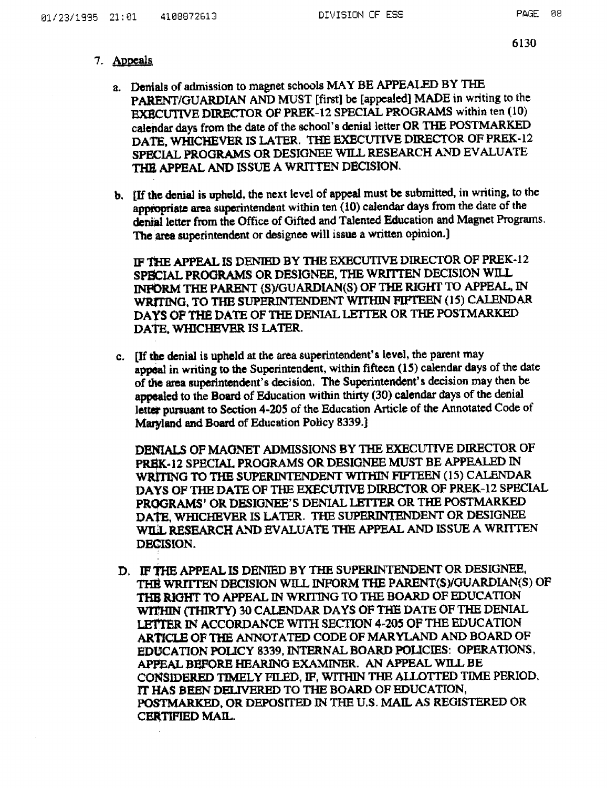## 7. Appeals

- a. Denials of admission to magnet schools MAY BE APPEALED BY THE PARENT/GUARDIAN AND MUST [first] be [appealed) MADE in writing to the EXECUTIVE DIRECTOR OF PREK-12 SPECIAL PROGRAMS within ten (10) calendar days from the date of the school's denial letter OR THE POSTMARKED DATE, WHICHEVER IS LATER. THE EXECUTIVE DIRECTOR OF PREK-12 SPECIAL PROGRAMS OR DESIGNEE WILL RESEARCH AND EVALUATE THE APPEAL AND ISSUE A WRITTEN DECISION.
- b. [If the denial is upheld, the next level of appeal must be submitted, in writing, to the appropriate area superintendent within ten (10) calendar days from the date of the denial letter from the Office of Gifted and Talented Education and Magnet Programs. The area superintendent or designee will issue a written opinion.)

IF THE APPEAL IS DENIED BY THE EXECUTIVE DIRECTOR OF PREK-12 SPECIAL PROGRAMS OR DESIGNEE, THE WRITTEN DECISION WILL INFORM THE PARENT (S)/GUARDIAN(S) OF THE RIGHT TO APPEAL, IN WRITING, TO THE SUPERINTENDENT WITHIN FIFTEEN (15) CALENDAR DAYS OF THE DATE OF THE DENIAL LETTER OR THE POSTMARKED DATE, WHICHEVER IS LATER.

c. [If the denial is upheld at the area superintendent's level, the parent may appeal in writing to the Superintendent, within fifteen  $(15)$  calendar days of the date of the area superintendent's decision. The Superintendent's decision may then be appealed to the Board of Education within thirty (30) calendar days of the denial letter pursuant to Section 4-205 of the Education Article of the Annotated Code of Maryland and Board of Education Policy 8339.)

DENIALS OF MAGNET ADMISSIONS BY THE EXECUTIVE DIRECTOR OF PREK-12 SPECIAL PROGRAMS OR DESIGNEE MUST BE APPEALED IN WRITING TO THE SUPERINTENDENT WITHIN FIFTEEN (15) CALENDAR DAYS OF THE DATE OF THE EXECUTIVE DIRECTOR OF PREK-12 SPECIAL PROGRAMS' OR DESIGNEE'S DENIAL LETTER OR THE POSTMARKED DATE, WHICHEVER IS LATER. THE SUPERINTENDENT OR DESIGNEE WILL RESEARCH AND EVALUATE THE APPEAL AND ISSUE A WRITTEN DECISION.

D. IF THE APPEAL IS DENIED BY THE SUPERINTENDENT OR DESIGNEE, THE WRITTEN DECISION WILL INFORM THE PARENT(S)/GUARDIAN(S) OF THE RIGHT TO APPEAL IN WRITING TO THE BOARD OF EDUCATION WITHIN (THIRTY) 30 CALENDAR DAYS OF THE DATE OF THE DENIAL. LETTER IN ACCORDANCE WITH SECTION 4-205 OF THE EDUCATION ARTICLE OF THE ANNOTATED CODE OF MARYLAND AND BOARD OF EDUCATION POLICY 8339, INTERNAL BOARD POLICIES: OPERATIONS APPEAL BEFORE HEARING EXAMINER. AN APPEAL WILL BE CONSIDERED TIMELY FILED, IF, WITHIN THE ALLOTTED TUAE PERIOD. IT HAS BEEN DELIVERED TO THE BOARD OF EDUCATION, POSTMARKED, OR DEPOSITED IN THE U.S . MAIL AS REGISTERED OR CERTIFIED MAIL.